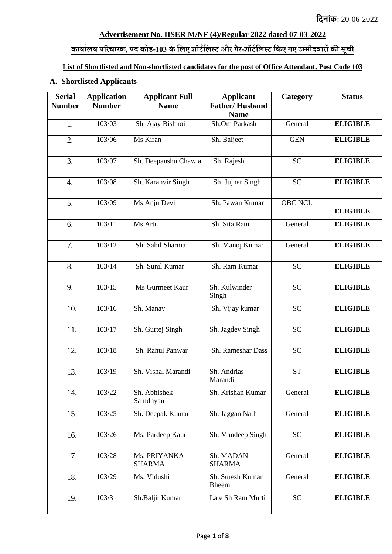#### **Advertisement No. IISER M/NF (4)/Regular 2022 dated 07-03-2022**

### **कार्ाालर् परिचािक, पद कोड-103 केललए शॉर्ाललस्र् औि गैि-शॉर्ाललस्र् लकए गए उम्मीदवािों की सूची**

# **List of Shortlisted and Non-shortlisted candidates for the post of Office Attendant, Post Code 103**

### **A. Shortlisted Applicants**

| <b>Serial</b><br><b>Number</b> | <b>Application</b><br><b>Number</b> | <b>Applicant Full</b><br><b>Name</b> | <b>Applicant</b><br><b>Father/Husband</b> | Category       | <b>Status</b>   |
|--------------------------------|-------------------------------------|--------------------------------------|-------------------------------------------|----------------|-----------------|
|                                |                                     |                                      | <b>Name</b>                               |                |                 |
| 1.                             | 103/03                              | Sh. Ajay Bishnoi                     | Sh.Om Parkash                             | General        | <b>ELIGIBLE</b> |
| 2.                             | 103/06                              | Ms Kiran                             | Sh. Baljeet                               | <b>GEN</b>     | <b>ELIGIBLE</b> |
| 3.                             | 103/07                              | Sh. Deepanshu Chawla                 | Sh. Rajesh                                | <b>SC</b>      | <b>ELIGIBLE</b> |
| $\overline{4}$ .               | 103/08                              | Sh. Karanvir Singh                   | Sh. Jujhar Singh                          | <b>SC</b>      | <b>ELIGIBLE</b> |
| 5.                             | 103/09                              | Ms Anju Devi                         | Sh. Pawan Kumar                           | <b>OBC NCL</b> | <b>ELIGIBLE</b> |
| 6.                             | 103/11                              | Ms Arti                              | Sh. Sita Ram                              | General        | <b>ELIGIBLE</b> |
| 7.                             | 103/12                              | Sh. Sahil Sharma                     | Sh. Manoj Kumar                           | General        | <b>ELIGIBLE</b> |
| 8.                             | 103/14                              | Sh. Sunil Kumar                      | Sh. Ram Kumar                             | <b>SC</b>      | <b>ELIGIBLE</b> |
| 9.                             | 103/15                              | Ms Gurmeet Kaur                      | Sh. Kulwinder<br>Singh                    | <b>SC</b>      | <b>ELIGIBLE</b> |
| 10.                            | 103/16                              | Sh. Manav                            | Sh. Vijay kumar                           | <b>SC</b>      | <b>ELIGIBLE</b> |
| 11.                            | 103/17                              | Sh. Gurtej Singh                     | Sh. Jagdev Singh                          | <b>SC</b>      | <b>ELIGIBLE</b> |
| 12.                            | 103/18                              | Sh. Rahul Panwar                     | Sh. Rameshar Dass                         | <b>SC</b>      | <b>ELIGIBLE</b> |
| 13.                            | 103/19                              | Sh. Vishal Marandi                   | Sh. Andrias<br>Marandi                    | <b>ST</b>      | <b>ELIGIBLE</b> |
| 14.                            | 103/22                              | Sh. Abhishek<br>Samdhyan             | Sh. Krishan Kumar                         | General        | <b>ELIGIBLE</b> |
| 15.                            | 103/25                              | Sh. Deepak Kumar                     | Sh. Jaggan Nath                           | General        | <b>ELIGIBLE</b> |
| 16.                            | 103/26                              | Ms. Pardeep Kaur                     | Sh. Mandeep Singh                         | <b>SC</b>      | <b>ELIGIBLE</b> |
| 17.                            | 103/28                              | Ms. PRIYANKA<br><b>SHARMA</b>        | Sh. MADAN<br><b>SHARMA</b>                | General        | <b>ELIGIBLE</b> |
| 18.                            | 103/29                              | Ms. Vidushi                          | Sh. Suresh Kumar<br>Bheem                 | General        | <b>ELIGIBLE</b> |
| 19.                            | 103/31                              | Sh.Baljit Kumar                      | Late Sh Ram Murti                         | <b>SC</b>      |                 |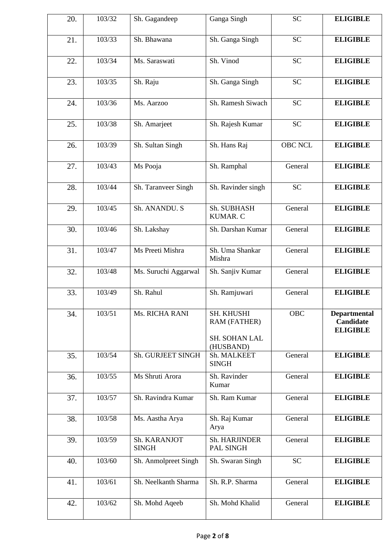| 20. | 103/32 | Sh. Gagandeep                | Ganga Singh                                              | <b>SC</b>      |                                                     |
|-----|--------|------------------------------|----------------------------------------------------------|----------------|-----------------------------------------------------|
| 21. | 103/33 | Sh. Bhawana                  | Sh. Ganga Singh                                          | <b>SC</b>      | <b>ELIGIBLE</b>                                     |
| 22. | 103/34 | Ms. Saraswati                | Sh. Vinod                                                | <b>SC</b>      | <b>ELIGIBLE</b>                                     |
| 23. | 103/35 | Sh. Raju                     | Sh. Ganga Singh                                          | <b>SC</b>      | <b>ELIGIBLE</b>                                     |
| 24. | 103/36 | Ms. Aarzoo                   | Sh. Ramesh Siwach                                        | <b>SC</b>      | <b>ELIGIBLE</b>                                     |
| 25. | 103/38 | Sh. Amarjeet                 | Sh. Rajesh Kumar                                         | <b>SC</b>      | <b>ELIGIBLE</b>                                     |
| 26. | 103/39 | Sh. Sultan Singh             | Sh. Hans Raj                                             | <b>OBC NCL</b> | <b>ELIGIBLE</b>                                     |
| 27. | 103/43 | Ms Pooja                     | Sh. Ramphal                                              | General        | <b>ELIGIBLE</b>                                     |
| 28. | 103/44 | Sh. Taranveer Singh          | Sh. Ravinder singh                                       | <b>SC</b>      | <b>ELIGIBLE</b>                                     |
| 29. | 103/45 | Sh. ANANDU. S                | Sh. SUBHASH<br>KUMAR. C                                  | General        | <b>ELIGIBLE</b>                                     |
| 30. | 103/46 | Sh. Lakshay                  | Sh. Darshan Kumar                                        | General        | <b>ELIGIBLE</b>                                     |
| 31. | 103/47 | Ms Preeti Mishra             | Sh. Uma Shankar<br>Mishra                                | General        | <b>ELIGIBLE</b>                                     |
| 32. | 103/48 | Ms. Suruchi Aggarwal         | Sh. Sanjiv Kumar                                         | General        | <b>ELIGIBLE</b>                                     |
| 33. | 103/49 | Sh. Rahul                    | Sh. Ramjuwari                                            | General        | <b>ELIGIBLE</b>                                     |
| 34. | 103/51 | Ms. RICHA RANI               | SH. KHUSHI<br>RAM (FATHER)<br>SH. SOHAN LAL<br>(HUSBAND) | <b>OBC</b>     | <b>Departmental</b><br>Candidate<br><b>ELIGIBLE</b> |
| 35. | 103/54 | Sh. GURJEET SINGH            | Sh. MALKEET<br><b>SINGH</b>                              | General        | <b>ELIGIBLE</b>                                     |
| 36. | 103/55 | Ms Shruti Arora              | Sh. Ravinder<br>Kumar                                    | General        | <b>ELIGIBLE</b>                                     |
| 37. | 103/57 | Sh. Ravindra Kumar           | Sh. Ram Kumar                                            | General        | <b>ELIGIBLE</b>                                     |
| 38. | 103/58 | Ms. Aastha Arya              | Sh. Raj Kumar<br>Arya                                    | General        | <b>ELIGIBLE</b>                                     |
| 39. | 103/59 | Sh. KARANJOT<br><b>SINGH</b> | Sh. HARJINDER<br>PAL SINGH                               | General        | <b>ELIGIBLE</b>                                     |
| 40. | 103/60 | Sh. Anmolpreet Singh         | Sh. Swaran Singh                                         | <b>SC</b>      | <b>ELIGIBLE</b>                                     |
| 41. | 103/61 | Sh. Neelkanth Sharma         | Sh. R.P. Sharma                                          | General        | <b>ELIGIBLE</b>                                     |
|     |        |                              |                                                          |                |                                                     |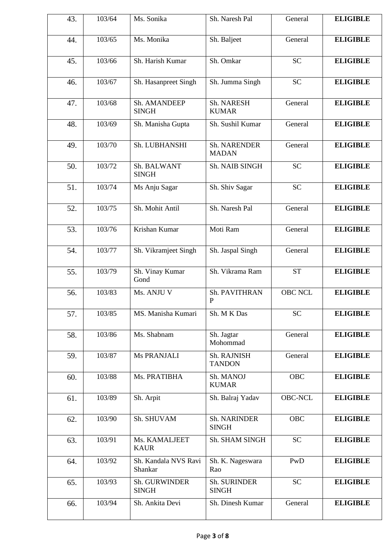| 43. | 103/64 | Ms. Sonika                      | Sh. Naresh Pal               | General        | <b>ELIGIBLE</b> |
|-----|--------|---------------------------------|------------------------------|----------------|-----------------|
| 44. | 103/65 | Ms. Monika                      | Sh. Baljeet                  | General        | <b>ELIGIBLE</b> |
| 45. | 103/66 | Sh. Harish Kumar                | Sh. Omkar                    | <b>SC</b>      | <b>ELIGIBLE</b> |
| 46. | 103/67 | Sh. Hasanpreet Singh            | Sh. Jumma Singh              | <b>SC</b>      | <b>ELIGIBLE</b> |
| 47. | 103/68 | Sh. AMANDEEP<br><b>SINGH</b>    | Sh. NARESH<br><b>KUMAR</b>   | General        | <b>ELIGIBLE</b> |
| 48. | 103/69 | Sh. Manisha Gupta               | Sh. Sushil Kumar             | General        | <b>ELIGIBLE</b> |
| 49. | 103/70 | Sh. LUBHANSHI                   | Sh. NARENDER<br><b>MADAN</b> | General        | <b>ELIGIBLE</b> |
| 50. | 103/72 | Sh. BALWANT<br><b>SINGH</b>     | Sh. NAIB SINGH               | <b>SC</b>      | <b>ELIGIBLE</b> |
| 51. | 103/74 | Ms Anju Sagar                   | Sh. Shiv Sagar               | <b>SC</b>      | <b>ELIGIBLE</b> |
| 52. | 103/75 | Sh. Mohit Antil                 | Sh. Naresh Pal               | General        | <b>ELIGIBLE</b> |
| 53. | 103/76 | Krishan Kumar                   | Moti Ram                     | General        | <b>ELIGIBLE</b> |
| 54. | 103/77 | Sh. Vikramjeet Singh            | Sh. Jaspal Singh             | General        | <b>ELIGIBLE</b> |
| 55. | 103/79 | Sh. Vinay Kumar<br>Gond         | Sh. Vikrama Ram              | <b>ST</b>      | <b>ELIGIBLE</b> |
| 56. | 103/83 | Ms. ANJU V                      | Sh. PAVITHRAN<br>P           | <b>OBC NCL</b> | <b>ELIGIBLE</b> |
| 57. | 103/85 | MS. Manisha Kumari              | Sh. M K Das                  | <b>SC</b>      | <b>ELIGIBLE</b> |
| 58. | 103/86 | Ms. Shabnam                     | Sh. Jagtar<br>Mohommad       | General        | <b>ELIGIBLE</b> |
| 59. | 103/87 | Ms PRANJALI                     | Sh. RAJNISH<br><b>TANDON</b> | General        | <b>ELIGIBLE</b> |
| 60. | 103/88 | Ms. PRATIBHA                    | Sh. MANOJ<br><b>KUMAR</b>    | <b>OBC</b>     | <b>ELIGIBLE</b> |
| 61. | 103/89 | Sh. Arpit                       | Sh. Balraj Yadav             | <b>OBC-NCL</b> | <b>ELIGIBLE</b> |
| 62. | 103/90 | Sh. SHUVAM                      | Sh. NARINDER<br><b>SINGH</b> | <b>OBC</b>     | <b>ELIGIBLE</b> |
| 63. | 103/91 | Ms. KAMALJEET<br><b>KAUR</b>    | Sh. SHAM SINGH               | <b>SC</b>      | <b>ELIGIBLE</b> |
| 64. | 103/92 | Sh. Kandala NVS Ravi<br>Shankar | Sh. K. Nageswara<br>Rao      | PwD            | <b>ELIGIBLE</b> |
| 65. | 103/93 | Sh. GURWINDER<br><b>SINGH</b>   | Sh. SURINDER<br><b>SINGH</b> | <b>SC</b>      | <b>ELIGIBLE</b> |
| 66. | 103/94 | Sh. Ankita Devi                 | Sh. Dinesh Kumar             | General        | <b>ELIGIBLE</b> |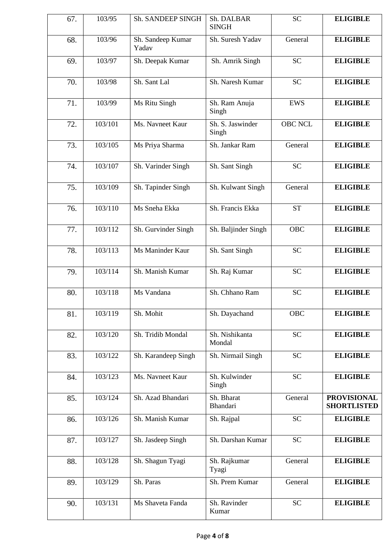| 67. | 103/95  | Sh. SANDEEP SINGH          | Sh. DALBAR<br><b>SINGH</b> | <b>SC</b>      | <b>ELIGIBLE</b>                          |
|-----|---------|----------------------------|----------------------------|----------------|------------------------------------------|
| 68. | 103/96  | Sh. Sandeep Kumar<br>Yadav | Sh. Suresh Yadav           | General        | <b>ELIGIBLE</b>                          |
| 69. | 103/97  | Sh. Deepak Kumar           | Sh. Amrik Singh            | <b>SC</b>      | <b>ELIGIBLE</b>                          |
| 70. | 103/98  | Sh. Sant Lal               | Sh. Naresh Kumar           | <b>SC</b>      | <b>ELIGIBLE</b>                          |
| 71. | 103/99  | Ms Ritu Singh              | Sh. Ram Anuja<br>Singh     | <b>EWS</b>     | <b>ELIGIBLE</b>                          |
| 72. | 103/101 | Ms. Navneet Kaur           | Sh. S. Jaswinder<br>Singh  | <b>OBC NCL</b> | <b>ELIGIBLE</b>                          |
| 73. | 103/105 | Ms Priya Sharma            | Sh. Jankar Ram             | General        | <b>ELIGIBLE</b>                          |
| 74. | 103/107 | Sh. Varinder Singh         | Sh. Sant Singh             | <b>SC</b>      | <b>ELIGIBLE</b>                          |
| 75. | 103/109 | Sh. Tapinder Singh         | Sh. Kulwant Singh          | General        | <b>ELIGIBLE</b>                          |
| 76. | 103/110 | Ms Sneha Ekka              | Sh. Francis Ekka           | <b>ST</b>      | <b>ELIGIBLE</b>                          |
| 77. | 103/112 | Sh. Gurvinder Singh        | Sh. Baljinder Singh        | <b>OBC</b>     | <b>ELIGIBLE</b>                          |
| 78. | 103/113 | Ms Maninder Kaur           | Sh. Sant Singh             | <b>SC</b>      | <b>ELIGIBLE</b>                          |
| 79. | 103/114 | Sh. Manish Kumar           | Sh. Raj Kumar              | <b>SC</b>      | <b>ELIGIBLE</b>                          |
| 80. | 103/118 | Ms Vandana                 | Sh. Chhano Ram             | <b>SC</b>      | <b>ELIGIBLE</b>                          |
| 81. | 103/119 | Sh. Mohit                  | Sh. Dayachand              | OBC            | <b>ELIGIBLE</b>                          |
| 82. | 103/120 | Sh. Tridib Mondal          | Sh. Nishikanta<br>Mondal   | <b>SC</b>      | <b>ELIGIBLE</b>                          |
| 83. | 103/122 | Sh. Karandeep Singh        | Sh. Nirmail Singh          | <b>SC</b>      | <b>ELIGIBLE</b>                          |
| 84. | 103/123 | Ms. Navneet Kaur           | Sh. Kulwinder<br>Singh     | <b>SC</b>      | <b>ELIGIBLE</b>                          |
| 85. | 103/124 | Sh. Azad Bhandari          | Sh. Bharat<br>Bhandari     | General        | <b>PROVISIONAL</b><br><b>SHORTLISTED</b> |
| 86. | 103/126 | Sh. Manish Kumar           | Sh. Rajpal                 | <b>SC</b>      | <b>ELIGIBLE</b>                          |
| 87. | 103/127 | Sh. Jasdeep Singh          | Sh. Darshan Kumar          | <b>SC</b>      | <b>ELIGIBLE</b>                          |
| 88. | 103/128 | Sh. Shagun Tyagi           | Sh. Rajkumar<br>Tyagi      | General        | <b>ELIGIBLE</b>                          |
| 89. | 103/129 | Sh. Paras                  | Sh. Prem Kumar             | General        | <b>ELIGIBLE</b>                          |
| 90. | 103/131 | Ms Shaveta Fanda           | Sh. Ravinder<br>Kumar      | <b>SC</b>      | <b>ELIGIBLE</b>                          |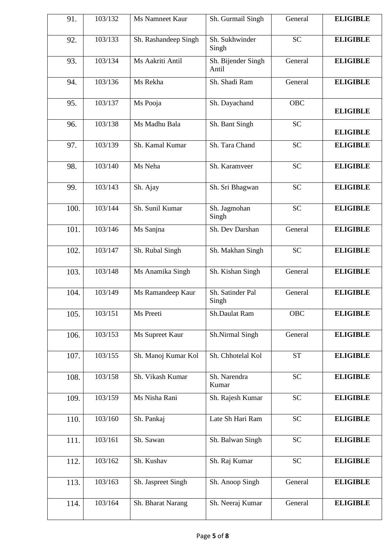| 91.  | 103/132 | Ms Namneet Kaur      | Sh. Gurmail Singh           | General    | <b>ELIGIBLE</b> |
|------|---------|----------------------|-----------------------------|------------|-----------------|
| 92.  | 103/133 | Sh. Rashandeep Singh | Sh. Sukhwinder<br>Singh     | <b>SC</b>  | <b>ELIGIBLE</b> |
| 93.  | 103/134 | Ms Aakriti Antil     | Sh. Bijender Singh<br>Antil | General    | <b>ELIGIBLE</b> |
| 94.  | 103/136 | Ms Rekha             | Sh. Shadi Ram               | General    | <b>ELIGIBLE</b> |
| 95.  | 103/137 | Ms Pooja             | Sh. Dayachand               | <b>OBC</b> | <b>ELIGIBLE</b> |
| 96.  | 103/138 | Ms Madhu Bala        | Sh. Bant Singh              | <b>SC</b>  | <b>ELIGIBLE</b> |
| 97.  | 103/139 | Sh. Kamal Kumar      | Sh. Tara Chand              | <b>SC</b>  | <b>ELIGIBLE</b> |
| 98.  | 103/140 | Ms Neha              | Sh. Karamveer               | <b>SC</b>  | <b>ELIGIBLE</b> |
| 99.  | 103/143 | Sh. Ajay             | Sh. Sri Bhagwan             | <b>SC</b>  | <b>ELIGIBLE</b> |
| 100. | 103/144 | Sh. Sunil Kumar      | Sh. Jagmohan<br>Singh       | <b>SC</b>  | <b>ELIGIBLE</b> |
| 101. | 103/146 | Ms Sanjna            | Sh. Dev Darshan             | General    | <b>ELIGIBLE</b> |
| 102. | 103/147 | Sh. Rubal Singh      | Sh. Makhan Singh            | <b>SC</b>  | <b>ELIGIBLE</b> |
| 103. | 103/148 | Ms Anamika Singh     | Sh. Kishan Singh            | General    | <b>ELIGIBLE</b> |
| 104. | 103/149 | Ms Ramandeep Kaur    | Sh. Satinder Pal<br>Singh   | General    | <b>ELIGIBLE</b> |
| 105. | 103/151 | Ms Preeti            | Sh.Daulat Ram               | OBC        | <b>ELIGIBLE</b> |
| 106. | 103/153 | Ms Supreet Kaur      | Sh.Nirmal Singh             | General    | <b>ELIGIBLE</b> |
| 107. | 103/155 | Sh. Manoj Kumar Kol  | Sh. Chhotelal Kol           | <b>ST</b>  | <b>ELIGIBLE</b> |
| 108. | 103/158 | Sh. Vikash Kumar     | Sh. Narendra<br>Kumar       | <b>SC</b>  | <b>ELIGIBLE</b> |
| 109. | 103/159 | Ms Nisha Rani        | Sh. Rajesh Kumar            | <b>SC</b>  | <b>ELIGIBLE</b> |
| 110. | 103/160 | Sh. Pankaj           | Late Sh Hari Ram            | <b>SC</b>  | <b>ELIGIBLE</b> |
| 111. | 103/161 | Sh. Sawan            | Sh. Balwan Singh            | <b>SC</b>  | <b>ELIGIBLE</b> |
| 112. | 103/162 | Sh. Kushav           | Sh. Raj Kumar               | <b>SC</b>  | <b>ELIGIBLE</b> |
| 113. | 103/163 | Sh. Jaspreet Singh   | Sh. Anoop Singh             | General    | <b>ELIGIBLE</b> |
| 114. | 103/164 | Sh. Bharat Narang    | Sh. Neeraj Kumar            | General    | <b>ELIGIBLE</b> |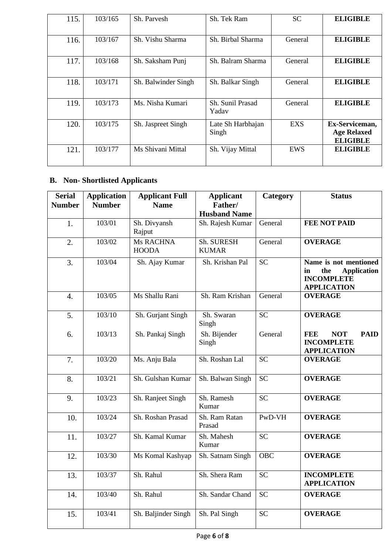| 115. | 103/165 | Sh. Parvesh         | Sh. Tek Ram                | <b>SC</b>  | <b>ELIGIBLE</b>                                         |
|------|---------|---------------------|----------------------------|------------|---------------------------------------------------------|
| 116. | 103/167 | Sh. Vishu Sharma    | Sh. Birbal Sharma          | General    | <b>ELIGIBLE</b>                                         |
| 117. | 103/168 | Sh. Saksham Punj    | Sh. Balram Sharma          | General    | <b>ELIGIBLE</b>                                         |
| 118. | 103/171 | Sh. Balwinder Singh | Sh. Balkar Singh           | General    | <b>ELIGIBLE</b>                                         |
| 119. | 103/173 | Ms. Nisha Kumari    | Sh. Sunil Prasad<br>Yadav  | General    | <b>ELIGIBLE</b>                                         |
| 120. | 103/175 | Sh. Jaspreet Singh  | Late Sh Harbhajan<br>Singh | <b>EXS</b> | Ex-Serviceman,<br><b>Age Relaxed</b><br><b>ELIGIBLE</b> |
| 121. | 103/177 | Ms Shivani Mittal   | Sh. Vijay Mittal           | EWS        | <b>ELIGIBLE</b>                                         |

## **B. Non- Shortlisted Applicants**

| <b>Serial</b><br><b>Number</b> | <b>Application</b><br><b>Number</b> | <b>Applicant Full</b><br><b>Name</b> | <b>Applicant</b><br>Father/<br><b>Husband Name</b> | Category   | <b>Status</b>                                                                                       |
|--------------------------------|-------------------------------------|--------------------------------------|----------------------------------------------------|------------|-----------------------------------------------------------------------------------------------------|
| 1.                             | 103/01                              | Sh. Divyansh<br>Rajput               | Sh. Rajesh Kumar                                   | General    | <b>FEE NOT PAID</b>                                                                                 |
| 2.                             | 103/02                              | Ms RACHNA<br><b>HOODA</b>            | Sh. SURESH<br><b>KUMAR</b>                         | General    | <b>OVERAGE</b>                                                                                      |
| 3.                             | 103/04                              | Sh. Ajay Kumar                       | Sh. Krishan Pal                                    | <b>SC</b>  | Name is not mentioned<br>the<br><b>Application</b><br>in<br><b>INCOMPLETE</b><br><b>APPLICATION</b> |
| $\overline{4}$ .               | 103/05                              | Ms Shallu Rani                       | Sh. Ram Krishan                                    | General    | <b>OVERAGE</b>                                                                                      |
| 5.                             | 103/10                              | Sh. Gurjant Singh                    | Sh. Swaran<br>Singh                                | <b>SC</b>  | <b>OVERAGE</b>                                                                                      |
| 6.                             | 103/13                              | Sh. Pankaj Singh                     | Sh. Bijender<br>Singh                              | General    | <b>FEE</b><br><b>NOT</b><br><b>PAID</b><br><b>INCOMPLETE</b><br><b>APPLICATION</b>                  |
| 7.                             | 103/20                              | Ms. Anju Bala                        | Sh. Roshan Lal                                     | <b>SC</b>  | <b>OVERAGE</b>                                                                                      |
| 8.                             | 103/21                              | Sh. Gulshan Kumar                    | Sh. Balwan Singh                                   | <b>SC</b>  | <b>OVERAGE</b>                                                                                      |
| 9.                             | 103/23                              | Sh. Ranjeet Singh                    | Sh. Ramesh<br>Kumar                                | <b>SC</b>  | <b>OVERAGE</b>                                                                                      |
| 10.                            | 103/24                              | Sh. Roshan Prasad                    | Sh. Ram Ratan<br>Prasad                            | PwD-VH     | <b>OVERAGE</b>                                                                                      |
| 11.                            | 103/27                              | Sh. Kamal Kumar                      | Sh. Mahesh<br>Kumar                                | <b>SC</b>  | <b>OVERAGE</b>                                                                                      |
| 12.                            | 103/30                              | Ms Komal Kashyap                     | Sh. Satnam Singh                                   | <b>OBC</b> | <b>OVERAGE</b>                                                                                      |
| 13.                            | 103/37                              | Sh. Rahul                            | Sh. Shera Ram                                      | SC         | <b>INCOMPLETE</b><br><b>APPLICATION</b>                                                             |
| 14.                            | 103/40                              | Sh. Rahul                            | Sh. Sandar Chand                                   | <b>SC</b>  | <b>OVERAGE</b>                                                                                      |
| 15.                            | 103/41                              | Sh. Baljinder Singh                  | Sh. Pal Singh                                      | <b>SC</b>  | <b>OVERAGE</b>                                                                                      |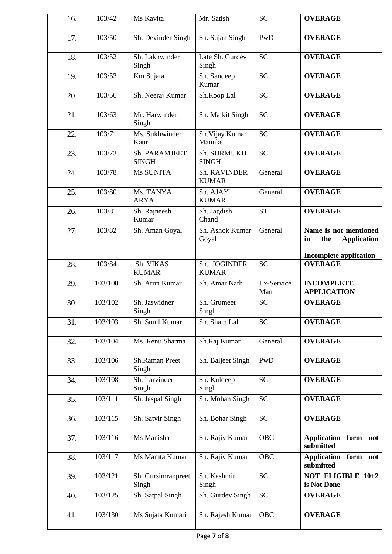| 16. | 103/42  | Ms Kavita                     | Mr. Satish                          | <b>SC</b>         | <b>OVERAGE</b>                                           |
|-----|---------|-------------------------------|-------------------------------------|-------------------|----------------------------------------------------------|
| 17. | 103/50  | Sh. Devinder Singh            | Sh. Sujan Singh                     | PwD               | <b>OVERAGE</b>                                           |
| 18. | 103/52  | Sh. Lakhwinder<br>Singh       | Late Sh. Gurdev<br>Singh            | <b>SC</b>         | <b>OVERAGE</b>                                           |
| 19. | 103/53  | Km Sujata                     | Sh. Sandeep<br>Kumar                | <b>SC</b>         | <b>OVERAGE</b>                                           |
| 20. | 103/56  | Sh. Neeraj Kumar              | Sh.Roop Lal                         | <b>SC</b>         | <b>OVERAGE</b>                                           |
| 21. | 103/63  | Mr. Harwinder<br>Singh        | Sh. Malkit Singh                    | <b>SC</b>         | <b>OVERAGE</b>                                           |
| 22. | 103/71  | Ms. Sukhwinder<br>Kaur        | Sh. Vijay Kumar<br>Mannke           | <b>SC</b>         | <b>OVERAGE</b>                                           |
| 23. | 103/73  | Sh. PARAMJEET<br><b>SINGH</b> | Sh. SURMUKH<br><b>SINGH</b>         | <b>SC</b>         | <b>OVERAGE</b>                                           |
| 24. | 103/78  | Ms SUNITA                     | <b>Sh. RAVINDER</b><br><b>KUMAR</b> | General           | <b>OVERAGE</b>                                           |
| 25. | 103/80  | Ms. TANYA<br><b>ARYA</b>      | Sh. AJAY<br><b>KUMAR</b>            | General           | <b>OVERAGE</b>                                           |
| 26. | 103/81  | Sh. Rajneesh<br>Kumar         | Sh. Jagdish<br>Chand                | <b>ST</b>         | <b>OVERAGE</b>                                           |
| 27. | 103/82  | Sh. Aman Goyal                | Sh. Ashok Kumar<br>Goyal            | General           | Name is not mentioned<br><b>Application</b><br>the<br>in |
| 28. | 103/84  | Sh. VIKAS<br><b>KUMAR</b>     | Sh. JOGINDER<br><b>KUMAR</b>        | <b>SC</b>         | <b>Incomplete application</b><br><b>OVERAGE</b>          |
| 29. | 103/100 | Sh. Arun Kumar                | Sh. Amar Nath                       | Ex-Service<br>Man | <b>INCOMPLETE</b><br><b>APPLICATION</b>                  |
| 30. | 103/102 | Sh. Jaswidner<br>Singh        | Sh. Grumeet<br>Singh                | <b>SC</b>         | <b>OVERAGE</b>                                           |
| 31. | 103/103 | Sh. Sunil Kumar               | Sh. Sham Lal                        | <b>SC</b>         | <b>OVERAGE</b>                                           |
| 32. | 103/104 | Ms. Renu Sharma               | Sh.Raj Kumar                        | General           | <b>OVERAGE</b>                                           |
| 33. | 103/106 | Sh.Raman Preet<br>Singh       | Sh. Baljeet Singh                   | PwD               | <b>OVERAGE</b>                                           |
| 34. | 103/108 | Sh. Tarvinder<br>Singh        | Sh. Kuldeep<br>Singh                | <b>SC</b>         | <b>OVERAGE</b>                                           |
| 35. | 103/111 | Sh. Jaspal Singh              | Sh. Mohan Singh                     | <b>SC</b>         | <b>OVERAGE</b>                                           |
| 36. | 103/115 | Sh. Satvir Singh              | Sh. Bohar Singh                     | <b>SC</b>         | <b>OVERAGE</b>                                           |
| 37. | 103/116 | Ms Manisha                    | Sh. Rajiv Kumar                     | <b>OBC</b>        | Application form not<br>submitted                        |
| 38. | 103/117 | Ms Mamta Kumari               | Sh. Rajiv Kumar                     | <b>OBC</b>        | Application form not<br>submitted                        |
| 39. | 103/121 | Sh. Gursimranpreet<br>Singh   | Sh. Kashmir<br>Singh                | <b>SC</b>         | NOT ELIGIBLE 10+2<br>is Not Done                         |
| 40. | 103/125 | Sh. Satpal Singh              | Sh. Gurdev Singh                    | <b>SC</b>         | <b>OVERAGE</b>                                           |
| 41. | 103/130 | Ms Sujata Kumari              | Sh. Rajesh Kumar                    | <b>OBC</b>        | <b>OVERAGE</b>                                           |